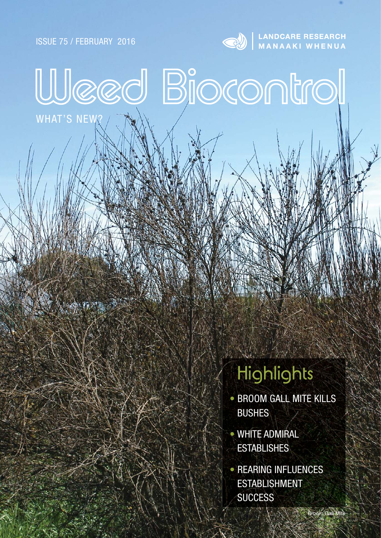ISSUE 75 / FEBRUARY 2016

WHAT'S NEW?



Weed Biocontrol

**ANDCARE RESEARCH** 

# **Highlights**

- **BROOM GALL MITE KILLS** BUSHES
- WHITE ADMIRAL **ESTABLISHES**
- REARING INFLUENCES ESTABLISHMENT **SUCCESS**

**Broom Gall Mite**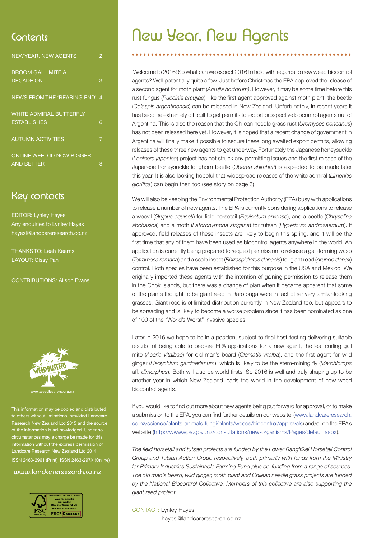| <b>NEWYEAR, NEW AGENTS</b>       | 2 |
|----------------------------------|---|
| <b>BROOM GALL MITE A</b>         |   |
| <b>DECADE ON</b>                 | 3 |
| NEWS FROM THE 'REARING END' 4    |   |
| <b>WHITE ADMIRAL BUTTERFLY</b>   |   |
| <b>ESTABLISHES</b>               | 6 |
| <b>AUTUMN ACTIVITIES</b>         | 7 |
| <b>ONLINE WEED ID NOW BIGGER</b> |   |
| <b>AND BETTER</b>                | 8 |

### Key contacts

EDITOR: Lynley Hayes Any enquiries to Lynley Hayes hayesl@landcareresearch.co.nz

THANKS TO: Leah Kearns LAYOUT: Cissy Pan

CONTRIBUTIONS: Alison Evans



usters.org.nz

This information may be copied and distributed others without limitations, provided Landca ch New Zealand Ltd 2015 and the source tion is acknowledged. Und ces may a charge be made for th information without the express Landcare Research New Zealand Ltd 2014 ISSN 2463-2961 (Print) ISSN 2463-297X (Online)

#### www.landcareresearch.co.nz



### Contents **New Year, New Agents**

 Welcome to 2016! So what can we expect 2016 to hold with regards to new weed biocontrol agents? Well potentially quite a few. Just before Christmas the EPA approved the release of a second agent for moth plant (*Araujia hortorum)*. However, it may be some time before this rust fungus (Puccinia araujiae), like the first agent approved against moth plant, the beetle (*Colaspis argentinensis*) can be released in New Zealand. Unfortunately, in recent years it has become extremely difficult to get permits to export prospective biocontrol agents out of Argentina. This is also the reason that the Chilean needle grass rust (*Uromyces pencanus*) has not been released here yet. However, it is hoped that a recent change of government in Argentina will finally make it possible to secure these long awaited export permits, allowing releases of these three new agents to get underway. Fortunately the Japanese honeysuckle (Lonicera japonica) project has not struck any permitting issues and the first release of the Japanese honeysuckle longhorn beetle (*Oberea shirahati*) is expected to be made later this year. It is also looking hopeful that widespread releases of the white admiral (*Limenitis glorifica*) can begin then too (see story on page 6).

We will also be keeping the Environmental Protection Authority (EPA) busy with applications to release a number of new agents. The EPA is currently considering applications to release a weevil (*Grypus equiseti*) for field horsetail (*Equisetum arvense*), and a beetle (*Chrysolina abchasica*) and a moth (*Lathronympha strigana*) for tutsan (*Hypericum androsaemum*). If approved, field releases of these insects are likely to begin this spring, and it will be the first time that any of them have been used as biocontrol agents anywhere in the world. An application is currently being prepared to request permission to release a gall-forming wasp (*Tetramesa romana*) and a scale insect (*Rhizaspidiotus donacis*) for giant reed (*Arundo donax*) control. Both species have been established for this purpose in the USA and Mexico. We originally imported these agents with the intention of gaining permission to release them in the Cook Islands, but there was a change of plan when it became apparent that some of the plants thought to be giant reed in Rarotonga were in fact other very similar-looking grasses. Giant reed is of limited distribution currently in New Zealand too, but appears to be spreading and is likely to become a worse problem since it has been nominated as one of 100 of the "World's Worst" invasive species.

Later in 2016 we hope to be in a position, subject to final host-testing delivering suitable results, of being able to prepare EPA applications for a new agent, the leaf curling gall mite (*Aceria vitalbae*) for old man's beard (*Clematis vitalba*), and the first agent for wild ginger (*Hedychium gardnerianum*), which is likely to be the stem-mining fly (*Merchlorops* aff. *dimorphus*). Both will also be world firsts. So 2016 is well and truly shaping up to be another year in which New Zealand leads the world in the development of new weed biocontrol agents.

If you would like to find out more about new agents being put forward for approval, or to make a submission to the EPA, you can find further details on our website (www.landcareresearch. co.nz/science/plants-animals-fungi/plants/weeds/biocontrol/approvals) and/or on the EPA's website (http://www.epa.govt.nz/consultations/new-organisms/Pages/default.aspx).

The field horsetail and tutsan projects are funded by the Lower Rangitikei Horsetail Control *Group and Tutsan Action Group respectively, both primarily with funds from the Ministry for Primary Industries Sustainable Farming Fund plus co-funding from a range of sources. The old man's beard, wild ginger, moth plant and Chilean needle grass projects are funded by the National Biocontrol Collective. Members of this collective are also supporting the giant reed project.*

#### CONTACT: Lynley Hayes

hayesl@landcareresearch.co.nz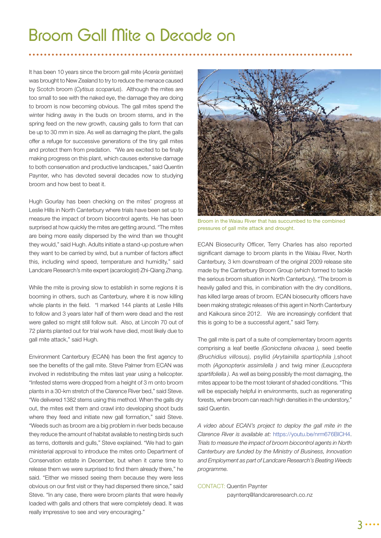### Broom Gall Mite a Decade on

It has been 10 years since the broom gall mite (*Aceria genistae*) was brought to New Zealand to try to reduce the menace caused by Scotch broom (*Cytisus scoparius*). Although the mites are too small to see with the naked eye, the damage they are doing to broom is now becoming obvious. The gall mites spend the winter hiding away in the buds on broom stems, and in the spring feed on the new growth, causing galls to form that can be up to 30 mm in size. As well as damaging the plant, the galls offer a refuge for successive generations of the tiny gall mites and protect them from predation. "We are excited to be finally making progress on this plant, which causes extensive damage to both conservation and productive landscapes," said Quentin Paynter, who has devoted several decades now to studying broom and how best to beat it.

Hugh Gourlay has been checking on the mites' progress at Leslie Hills in North Canterbury where trials have been set up to measure the impact of broom biocontrol agents. He has been surprised at how quickly the mites are getting around. "The mites are being more easily dispersed by the wind than we thought they would," said Hugh. Adults initiate a stand-up posture when they want to be carried by wind, but a number of factors affect this, including wind speed, temperature and humidity," said Landcare Research's mite expert (acarologist) Zhi-Qiang Zhang.

While the mite is proving slow to establish in some regions it is booming in others, such as Canterbury, where it is now killing whole plants in the field. "I marked 144 plants at Leslie Hills to follow and 3 years later half of them were dead and the rest were galled so might still follow suit. Also, at Lincoln 70 out of 72 plants planted out for trial work have died, most likely due to gall mite attack," said Hugh.

Environment Canterbury (ECAN) has been the first agency to see the benefits of the gall mite. Steve Palmer from ECAN was involved in redistributing the mites last year using a helicopter. "Infested stems were dropped from a height of 3 m onto broom plants in a 30-km stretch of the Clarence River bed," said Steve. "We delivered 1382 stems using this method. When the galls dry out, the mites exit them and crawl into developing shoot buds where they feed and initiate new gall formation," said Steve. "Weeds such as broom are a big problem in river beds because they reduce the amount of habitat available to nesting birds such as terns, dotterels and gulls," Steve explained. "We had to gain ministerial approval to introduce the mites onto Department of Conservation estate in December, but when it came time to release them we were surprised to find them already there," he said. "Either we missed seeing them because they were less obvious on our first visit or they had dispersed there since," said Steve. "In any case, there were broom plants that were heavily loaded with galls and others that were completely dead. It was really impressive to see and very encouraging."



Broom in the Waiau River that has succumbed to the combined pressures of gall mite attack and drought.

ECAN Biosecurity Officer, Terry Charles has also reported significant damage to broom plants in the Waiau River, North Canterbury, 3 km downstream of the original 2009 release site made by the Canterbury Broom Group (which formed to tackle the serious broom situation in North Canterbury). "The broom is heavily galled and this, in combination with the dry conditions, has killed large areas of broom. ECAN biosecurity officers have been making strategic releases of this agent in North Canterbury and Kaikoura since 2012. We are increasingly confident that this is going to be a successful agent," said Terry.

The gall mite is part of a suite of complementary broom agents comprising a leaf beetle *(Gonioctena olivacea ),* seed beetle *(Bruchidius villosus),* psyllid *(Arytainilla spartiophila ),*shoot moth *(Agonopterix assimilella )* and twig miner *(Leucoptera spartifoliella ).* As well as being possibly the most damaging, the mites appear to be the most tolerant of shaded conditions. "This will be especially helpful in environments, such as regenerating forests, where broom can reach high densities in the understory," said Quentin.

*A video about ECAN's project to deploy the gall mite in the Clarence River is available at:* https://youtu.be/nrm676BlCH4. *Trials to measure the impact of broom biocontrol agents in North Canterbury are funded by the Ministry of Business, Innovation and Employment as part of Landcare Research's Beating Weeds programme.*

#### CONTACT: Quentin Paynter

paynterq@landcareresearch.co.nz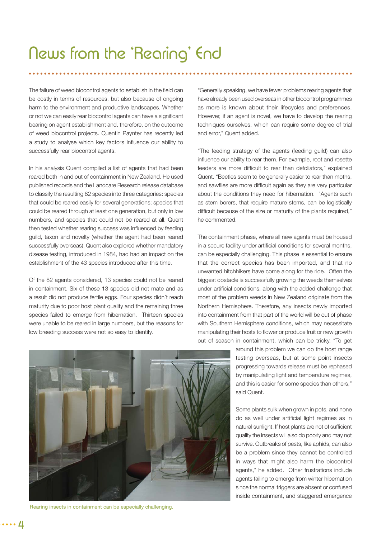### News from the 'Rearing' End

The failure of weed biocontrol agents to establish in the field can be costly in terms of resources, but also because of ongoing harm to the environment and productive landscapes. Whether or not we can easily rear biocontrol agents can have a significant bearing on agent establishment and, therefore, on the outcome of weed biocontrol projects. Quentin Paynter has recently led a study to analyse which key factors influence our ability to successfully rear biocontrol agents.

In his analysis Quent compiled a list of agents that had been reared both in and out of containment in New Zealand. He used published records and the Landcare Research release database to classify the resulting 82 species into three categories: species that could be reared easily for several generations; species that could be reared through at least one generation, but only in low numbers, and species that could not be reared at all. Quent then tested whether rearing success was influenced by feeding guild, taxon and novelty (whether the agent had been reared successfully overseas). Quent also explored whether mandatory disease testing, introduced in 1984, had had an impact on the establishment of the 43 species introduced after this time.

Of the 82 agents considered, 13 species could not be reared in containment. Six of these 13 species did not mate and as a result did not produce fertile eggs. Four species didn't reach maturity due to poor host plant quality and the remaining three species failed to emerge from hibernation. Thirteen species were unable to be reared in large numbers, but the reasons for low breeding success were not so easy to identify.

"Generally speaking, we have fewer problems rearing agents that have already been used overseas in other biocontrol programmes as more is known about their lifecycles and preferences. However, if an agent is novel, we have to develop the rearing techniques ourselves, which can require some degree of trial and error," Quent added.

"The feeding strategy of the agents (feeding guild) can also influence our ability to rear them. For example, root and rosette feeders are more difficult to rear than defoliators," explained Quent. "Beetles seem to be generally easier to rear than moths, and sawflies are more difficult again as they are very particular about the conditions they need for hibernation. "Agents such as stem borers, that require mature stems, can be logistically difficult because of the size or maturity of the plants required," he commented.

The containment phase, where all new agents must be housed in a secure facility under artificial conditions for several months, can be especially challenging. This phase is essential to ensure that the correct species has been imported, and that no unwanted hitchhikers have come along for the ride. Often the biggest obstacle is successfully growing the weeds themselves under artificial conditions, along with the added challenge that most of the problem weeds in New Zealand originate from the Northern Hemisphere. Therefore, any insects newly imported into containment from that part of the world will be out of phase with Southern Hemisphere conditions, which may necessitate manipulating their hosts to flower or produce fruit or new growth out of season in containment, which can be tricky. "To get

> around this problem we can do the host range testing overseas, but at some point insects progressing towards release must be rephased by manipulating light and temperature regimes, and this is easier for some species than others," said Quent.

> Some plants sulk when grown in pots, and none do as well under artificial light regimes as in natural sunlight. If host plants are not of sufficient quality the insects will also do poorly and may not survive. Outbreaks of pests, like aphids, can also be a problem since they cannot be controlled in ways that might also harm the biocontrol agents," he added. Other frustrations include agents failing to emerge from winter hibernation since the normal triggers are absent or confused inside containment, and staggered emergence



Rearing insects in containment can be especially challenging.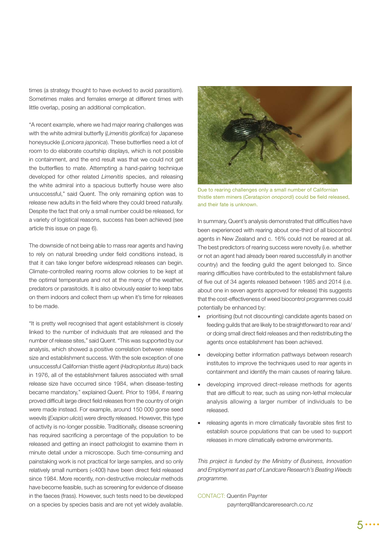times (a strategy thought to have evolved to avoid parasitism). Sometimes males and females emerge at different times with little overlap, posing an additional complication.

"A recent example, where we had major rearing challenges was with the white admiral butterfly (*Limenitis glorifica*) for Japanese honeysuckle (*Lonicera japonica*). These butterflies need a lot of room to do elaborate courtship displays, which is not possible in containment, and the end result was that we could not get the butterflies to mate. Attempting a hand-pairing technique developed for other related *Limenitis* species, and releasing the white admiral into a spacious butterfly house were also unsuccessful," said Quent. The only remaining option was to release new adults in the field where they could breed naturally. Despite the fact that only a small number could be released, for a variety of logistical reasons, success has been achieved (see article this issue on page 6).

The downside of not being able to mass rear agents and having to rely on natural breeding under field conditions instead, is that it can take longer before widespread releases can begin. Climate-controlled rearing rooms allow colonies to be kept at the optimal temperature and not at the mercy of the weather, predators or parasitoids. It is also obviously easier to keep tabs on them indoors and collect them up when it's time for releases to be made.

"It is pretty well recognised that agent establishment is closely linked to the number of individuals that are released and the number of release sites," said Quent. "This was supported by our analysis, which showed a positive correlation between release size and establishment success. With the sole exception of one unsuccessful Californian thistle agent (*Hadroplontus litura*) back in 1976, all of the establishment failures associated with small release size have occurred since 1984, when disease-testing became mandatory," explained Quent. Prior to 1984, if rearing proved difficult large direct field releases from the country of origin were made instead. For example, around 150 000 gorse seed weevils (*Exapion ulicis*) were directly released. However, this type of activity is no-longer possible. Traditionally, disease screening has required sacrificing a percentage of the population to be released and getting an insect pathologist to examine them in minute detail under a microscope. Such time-consuming and painstaking work is not practical for large samples, and so only relatively small numbers (<400) have been direct field released since 1984. More recently, non-destructive molecular methods have become feasible, such as screening for evidence of disease in the faeces (frass). However, such tests need to be developed on a species by species basis and are not yet widely available.



Due to rearing challenges only a small number of Californian thistle stem miners (Ceratapion onopordi) could be field released, and their fate is unknown.

In summary, Quent's analysis demonstrated that difficulties have been experienced with rearing about one-third of all biocontrol agents in New Zealand and c. 16% could not be reared at all. The best predictors of rearing success were novelty (i.e. whether or not an agent had already been reared successfully in another country) and the feeding guild the agent belonged to. Since rearing difficulties have contributed to the establishment failure of five out of 34 agents released between 1985 and 2014 (i.e. about one in seven agents approved for release) this suggests that the cost-effectiveness of weed biocontrol programmes could potentially be enhanced by:

- prioritising (but not discounting) candidate agents based on feeding guilds that are likely to be straightforward to rear and/ or doing small direct field releases and then redistributing the agents once establishment has been achieved.
- developing better information pathways between research institutes to improve the techniques used to rear agents in containment and identify the main causes of rearing failure.
- developing improved direct-release methods for agents that are difficult to rear, such as using non-lethal molecular analysis allowing a larger number of individuals to be released.
- releasing agents in more climatically favorable sites first to establish source populations that can be used to support releases in more climatically extreme environments.

*This project is funded by the Ministry of Business, Innovation and Employment as part of Landcare Research's Beating Weeds programme.*

CONTACT: Quentin Paynter paynterq@landcareresearch.co.nz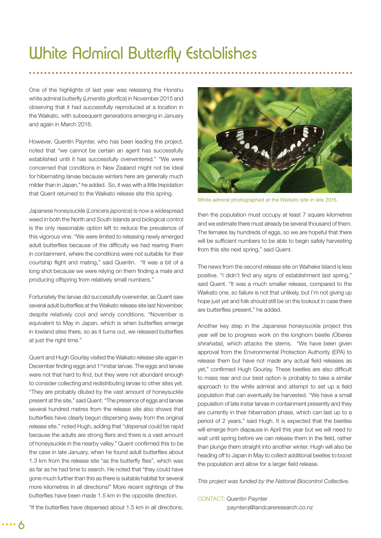### White Admiral Butterfly Establishes

One of the highlights of last year was releasing the Honshu white admiral butterfly (Limenitis glorifica) in November 2015 and observing that it had successfully reproduced at a location in the Waikato, with subsequent generations emerging in January and again in March 2016.

However, Quentin Paynter, who has been leading the project, noted that "we cannot be certain an agent has successfully established until it has successfully overwintered." "We were concerned that conditions in New Zealand might not be ideal for hibernating larvae because winters here are generally much milder than in Japan," he added. So, it was with a little trepidation that Quent returned to the Waikato release site this spring.

Japanese honeysuckle (*Lonicera japonica*) is now a widespread weed in both the North and South Islands and biological control is the only reasonable option left to reduce the prevalence of this vigorous vine. "We were limited to releasing newly emerged adult butterflies because of the difficulty we had rearing them in containment, where the conditions were not suitable for their courtship flight and mating," said Quentin. "It was a bit of a long shot because we were relying on them finding a mate and producing offspring from relatively small numbers."

Fortunately the larvae did successfully overwinter, as Quent saw several adult butterflies at the Waikato release site last November. despite relatively cool and windy conditions. "November is equivalent to May in Japan, which is when butterflies emerge in lowland sites there, so as it turns out, we released butterflies at just the right time."

Quent and Hugh Gourlay visited the Waikato release site again in December finding eggs and 1<sup>st</sup> instar larvae. The eggs and larvae were not that hard to find, but they were not abundant enough to consider collecting and redistributing larvae to other sites yet. "They are probably diluted by the vast amount of honeysuckle present at the site," said Quent. "The presence of eggs and larvae several hundred metres from the release site also shows that butterflies have clearly begun dispersing away from the original release site," noted Hugh, adding that "dispersal could be rapid because the adults are strong fliers and there is a vast amount of honeysuckle in the nearby valley." Quent confirmed this to be the case in late January, when he found adult butterflies about 1.3 km from the release site "as the butterfly flies", which was as far as he had time to search. He noted that "they could have gone much further than this as there is suitable habitat for several more kilometres in all directions!" More recent sightings of the butterflies have been made 1.5 km in the opposite direction.



White admiral photographed at the Waikato site in late 2015.

then the population must occupy at least 7 square kilometres and we estimate there must already be several thousand of them. The females lay hundreds of eggs, so we are hopeful that there will be sufficient numbers to be able to begin safely harvesting from this site next spring," said Quent.

The news from the second release site on Waiheke Island is less positive. "I didn't find any signs of establishment last spring," said Quent. "It was a much smaller release, compared to the Waikato one, so failure is not that unlikely, but I'm not giving up hope just yet and folk should still be on the lookout in case there are butterflies present," he added.

Another key step in the Japanese honeysuckle project this year will be to progress work on the longhorn beetle *(Oberea shirahatai),* which attacks the stems. "We have been given approval from the Environmental Protection Authority (EPA) to release them but have not made any actual field releases as yet," confirmed Hugh Gourlay. These beetles are also difficult to mass rear and our best option is probably to take a similar approach to the white admiral and attempt to set up a field population that can eventually be harvested. "We have a small population of late instar larvae in containment presently and they are currently in their hibernation phase, which can last up to a period of 2 years," said Hugh. It is expected that the beetles will emerge from diapause in April this year but we will need to wait until spring before we can release them in the field, rather than plunge them straight into another winter. Hugh will also be heading off to Japan in May to collect additional beetles to boost the population and allow for a larger field release.

*This project was funded by the National Biocontrol Collective.*

#### CONTACT: Quentin Paynter

paynterq@landcareresearch.co.nz

"If the butterflies have dispersed about 1.5 km in all directions,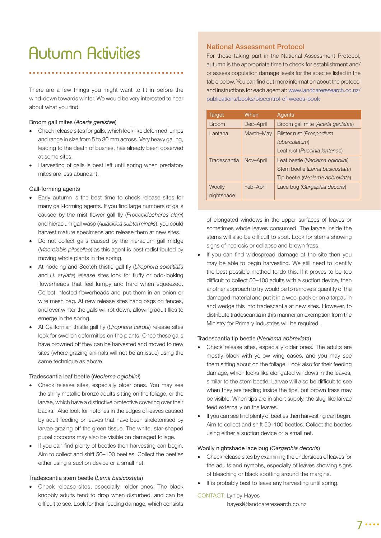## Autumn Activities

There are a few things you might want to fit in before the wind-down towards winter. We would be very interested to hear about what you find.

#### Broom gall mites (*Aceria genistae*)

- Check release sites for galls, which look like deformed lumps and range in size from 5 to 30 mm across. Very heavy galling, leading to the death of bushes, has already been observed at some sites.
- Harvesting of galls is best left until spring when predatory mites are less abundant.

#### Gall-forming agents

- Early autumn is the best time to check release sites for many gall-forming agents. If you find large numbers of galls caused by the mist flower gall fly (*Procecidochares alani*) and hieracium gall wasp (*Aulacidea subterminalis*), you could harvest mature specimens and release them at new sites.
- Do not collect galls caused by the hieracium gall midge (*Macrolabis pilosellae*) as this agent is best redistributed by moving whole plants in the spring.
- At nodding and Scotch thistle gall fly (*Urophora solstitialis* and *U. stylata*) release sites look for fluffy or odd-looking flowerheads that feel lumpy and hard when squeezed. Collect infested flowerheads and put them in an onion or wire mesh bag. At new release sites hang bags on fences, and over winter the galls will rot down, allowing adult flies to emerge in the spring.
- At Californian thistle gall fly (*Urophora cardui*) release sites look for swollen deformities on the plants. Once these galls have browned off they can be harvested and moved to new sites (where grazing animals will not be an issue) using the same technique as above.

#### Tradescantia leaf beetle (*Neolema ogloblini*)

- Check release sites, especially older ones. You may see the shiny metallic bronze adults sitting on the foliage, or the larvae, which have a distinctive protective covering over their backs. Also look for notches in the edges of leaves caused by adult feeding or leaves that have been skeletonised by larvae grazing off the green tissue. The white, star-shaped pupal cocoons may also be visible on damaged foliage.
- If you can find plenty of beetles then harvesting can begin. Aim to collect and shift 50–100 beetles. Collect the beetles either using a suction device or a small net.

#### Tradescantia stem beetle (*Lema basicostata*)

 Check release sites, especially older ones. The black knobbly adults tend to drop when disturbed, and can be difficult to see. Look for their feeding damage, which consists

#### **National Assessment Protocol**

For those taking part in the National Assessment Protocol, autumn is the appropriate time to check for establishment and/ or assess population damage levels for the species listed in the table below. You can find out more information about the protocol and instructions for each agent at: www.landcareresearch.co.nz/ publications/books/biocontrol-of-weeds-book

| <b>Target</b> | When      | Agents                            |
|---------------|-----------|-----------------------------------|
| <b>Broom</b>  | Dec-April | Broom gall mite (Aceria genistae) |
| Lantana       | March-May | Blister rust (Prospodium          |
|               |           | tuberculatum)                     |
|               |           | Leaf rust (Puccinia lantanae)     |
| Tradescantia  | Nov-April | Leaf beetle (Neolema ogloblini)   |
|               |           | Stem beetle (Lema basicostata)    |
|               |           | Tip beetle (Neolema abbreviata)   |
| Woolly        | Feb-April | Lace bug (Gargaphia decoris)      |
| nightshade    |           |                                   |

of elongated windows in the upper surfaces of leaves or sometimes whole leaves consumed. The larvae inside the stems will also be difficult to spot. Look for stems showing signs of necrosis or collapse and brown frass.

If you can find widespread damage at the site then you may be able to begin harvesting. We still need to identify the best possible method to do this. If it proves to be too difficult to collect 50–100 adults with a suction device, then another approach to try would be to remove a quantity of the damaged material and put it in a wool pack or on a tarpaulin and wedge this into tradescantia at new sites. However, to distribute tradescantia in this manner an exemption from the Ministry for Primary Industries will be required.

#### Tradescantia tip beetle (*Neolema abbreviata*)

- Check release sites, especially older ones. The adults are mostly black with yellow wing cases, and you may see them sitting about on the foliage. Look also for their feeding damage, which looks like elongated windows in the leaves, similar to the stem beetle. Larvae will also be difficult to see when they are feeding inside the tips, but brown frass may be visible. When tips are in short supply, the slug-like larvae feed externally on the leaves.
- If you can see find plenty of beetles then harvesting can begin. Aim to collect and shift 50–100 beetles. Collect the beetles using either a suction device or a small net.

#### Woolly nightshade lace bug (*Gargaphia decoris*)

- Check release sites by examining the undersides of leaves for the adults and nymphs, especially of leaves showing signs of bleaching or black spotting around the margins.
- It is probably best to leave any harvesting until spring.

#### CONTACT: Lynley Hayes

hayesl@landcareresearch.co.nz